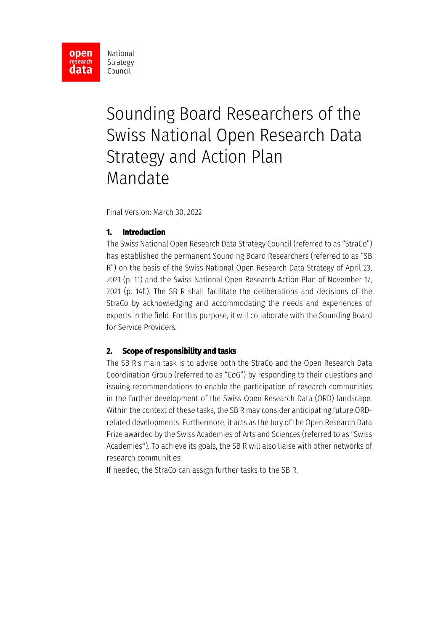

# Sounding Board Researchers of the Swiss National Open Research Data Strategy and Action Plan Mandate

Final Version: March 30, 2022

## **1. Introduction**

The Swiss National Open Research Data Strategy Council (referred to as "StraCo") has established the permanent Sounding Board Researchers (referred to as "SB R") on the basis of the Swiss National Open Research Data Strategy of April 23, 2021 (p. 11) and the Swiss National Open Research Action Plan of November 17, 2021 (p. 14f.). The SB R shall facilitate the deliberations and decisions of the StraCo by acknowledging and accommodating the needs and experiences of experts in the field. For this purpose, it will collaborate with the Sounding Board for Service Providers.

#### **2. Scope of responsibility and tasks**

The SB R's main task is to advise both the StraCo and the Open Research Data Coordination Group (referred to as "CoG") by responding to their questions and issuing recommendations to enable the participation of research communities in the further development of the Swiss Open Research Data (ORD) landscape. Within the context of these tasks, the SB R may consider anticipating future ORDrelated developments. Furthermore, it acts as the Jury of the Open Research Data Prize awarded by the Swiss Academies of Arts and Sciences (referred to as "Swiss Academies''). To achieve its goals, the SB R will also liaise with other networks of research communities.

If needed, the StraCo can assign further tasks to the SB R.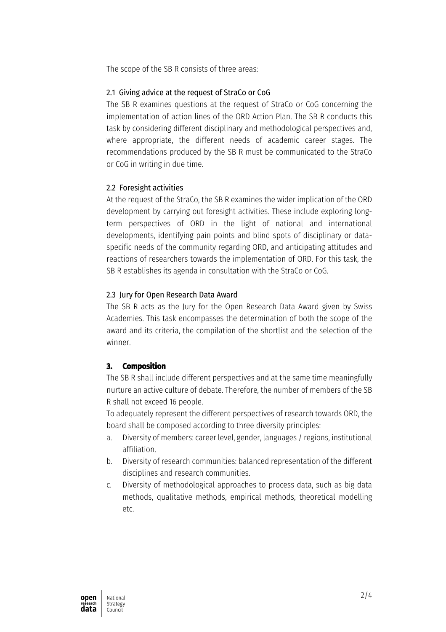The scope of the SB R consists of three areas:

#### 2.1 Giving advice at the request of StraCo or CoG

The SB R examines questions at the request of StraCo or CoG concerning the implementation of action lines of the ORD Action Plan. The SB R conducts this task by considering different disciplinary and methodological perspectives and, where appropriate, the different needs of academic career stages. The recommendations produced by the SB R must be communicated to the StraCo or CoG in writing in due time.

## 2.2 Foresight activities

At the request of the StraCo, the SB R examines the wider implication of the ORD development by carrying out foresight activities. These include exploring longterm perspectives of ORD in the light of national and international developments, identifying pain points and blind spots of disciplinary or dataspecific needs of the community regarding ORD, and anticipating attitudes and reactions of researchers towards the implementation of ORD. For this task, the SB R establishes its agenda in consultation with the StraCo or CoG.

## 2.3 Jury for Open Research Data Award

The SB R acts as the Jury for the Open Research Data Award given by Swiss Academies. This task encompasses the determination of both the scope of the award and its criteria, the compilation of the shortlist and the selection of the winner.

# **3. Composition**

The SB R shall include different perspectives and at the same time meaningfully nurture an active culture of debate. Therefore, the number of members of the SB R shall not exceed 16 people.

To adequately represent the different perspectives of research towards ORD, the board shall be composed according to three diversity principles:

- a. Diversity of members: career level, gender, languages / regions, institutional affiliation.
- b. Diversity of research communities: balanced representation of the different disciplines and research communities.
- c. Diversity of methodological approaches to process data, such as big data methods, qualitative methods, empirical methods, theoretical modelling etc.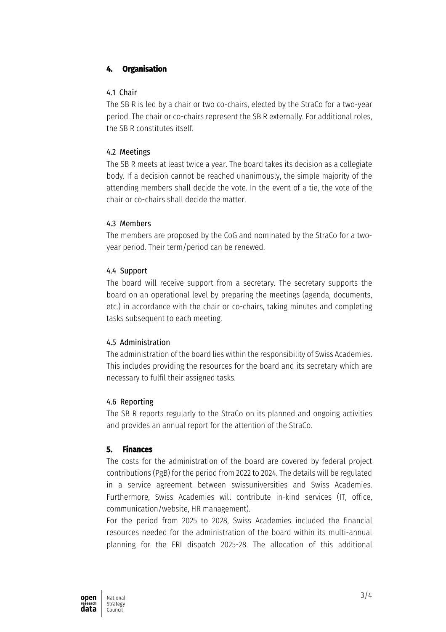# **4. Organisation**

#### 4.1 Chair

The SB R is led by a chair or two co-chairs, elected by the StraCo for a two-year period. The chair or co-chairs represent the SB R externally. For additional roles, the SB R constitutes itself.

## 4.2 Meetings

The SB R meets at least twice a year. The board takes its decision as a collegiate body. If a decision cannot be reached unanimously, the simple majority of the attending members shall decide the vote. In the event of a tie, the vote of the chair or co-chairs shall decide the matter.

#### 4.3 Members

The members are proposed by the CoG and nominated by the StraCo for a twoyear period. Their term/period can be renewed.

## 4.4 Support

The board will receive support from a secretary. The secretary supports the board on an operational level by preparing the meetings (agenda, documents, etc.) in accordance with the chair or co-chairs, taking minutes and completing tasks subsequent to each meeting.

# 4.5 Administration

The administration of the board lies within the responsibility of Swiss Academies. This includes providing the resources for the board and its secretary which are necessary to fulfil their assigned tasks.

# 4.6 Reporting

The SB R reports regularly to the StraCo on its planned and ongoing activities and provides an annual report for the attention of the StraCo.

# **5. Finances**

The costs for the administration of the board are covered by federal project contributions (PgB) for the period from 2022 to 2024. The details will be regulated in a service agreement between swissuniversities and Swiss Academies. Furthermore, Swiss Academies will contribute in-kind services (IT, office, communication/website, HR management).

For the period from 2025 to 2028, Swiss Academies included the financial resources needed for the administration of the board within its multi-annual planning for the ERI dispatch 2025-28. The allocation of this additional